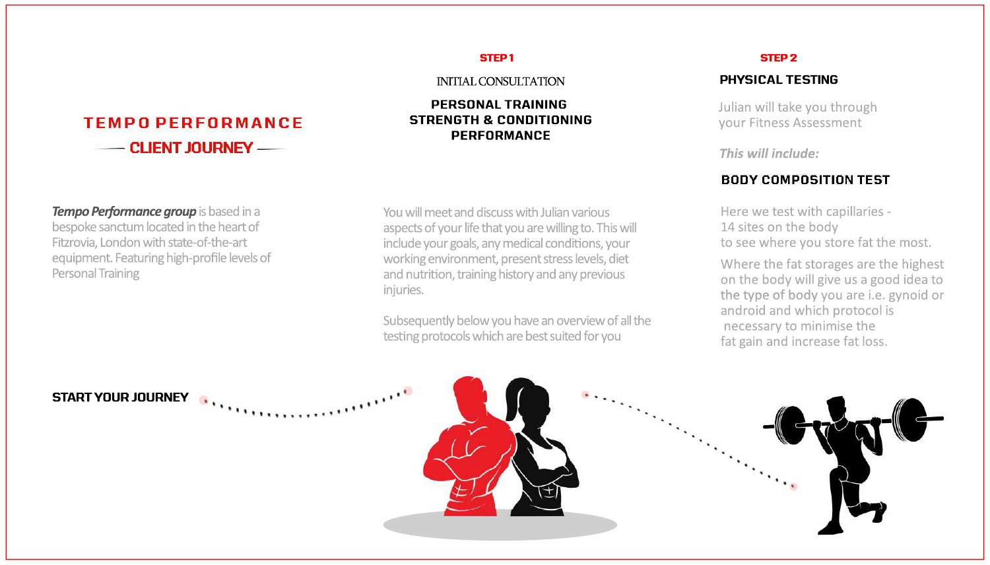$\mathbf{u}$ 

# **TEMPO PERFORMANCE** - CLIENT JOURNEY

You will meet and discuss with Julian various aspects of your life that you are willing to. This will include your goals, any medical conditions, your working environment, present stress levels, diet and nutrition, training history and any previous injuries.

Subsequently below you have an overview of all the testing protocols which are best suited for you

Tempo Performance group is based in a bespoke sanctum located in the heart of Fitzrovia, London with state-of-the-art equipment. Featuring high-profile levels of **Personal Training** 



#### **STEP1**

**INITIAL CONSULTATION** 

#### **PERSONAL TRAINING STRENGTH & CONDITIONING PERFORMANCE**

#### **STEP 2**

#### **PHYSICAL TESTING**

Julian will take you through your Fitness Assessment

This will include:

#### **BODY COMPOSITION TEST**

Here we test with capillaries -14 sites on the body to see where you store fat the most.

Where the fat storages are the highest on the body will give us a good idea to the type of body you are i.e. gynoid or android and which protocol is necessary to minimise the fat gain and increase fat loss.

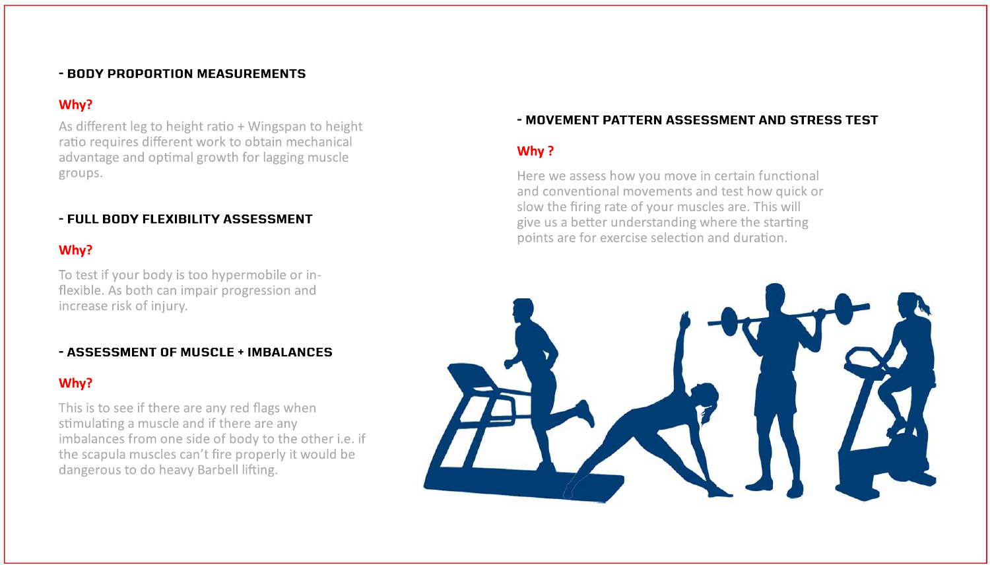### - BODY PROPORTION MEASUREMENTS

## Why?

As different leg to height ratio + Wingspan to height ratio requires different work to obtain mechanical advantage and optimal growth for lagging muscle groups.

## - FULL BODY FLEXIBILITY ASSESSMENT

### Why?

To test if your body is too hypermobile or inflexible. As both can impair progression and increase risk of injury.

### - ASSESSMENT OF MUSCLE + IMBALANCES

## Why?

This is to see if there are any red flags when stimulating a muscle and if there are any imbalances from one side of body to the other i.e. if the scapula muscles can't fire properly it would be dangerous to do heavy Barbell lifting.

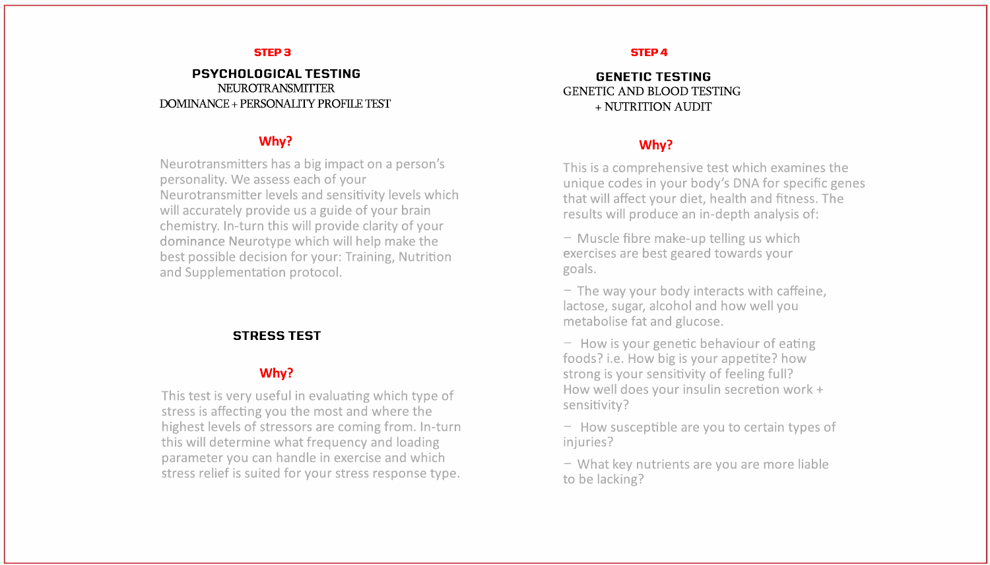#### **PSYCHOLOGICALTESTING** NEUROTRANSMITTER DOMINANCE + PERSONALITY PROFILE TEST

#### **GENETIC TESTING** GENETIC AND BLOOD TESTING +NUTRITIONAUDIT

#### **STRESSTEST**

## **Why?**

This is a comprehensive test which examines the unique codes in your body's DNA for specific genes that will affect your diet, health and fitness. The results will produce an in-depth analysis of:

- Muscle fibre make-up telling us which exercises are best geared towards your goals.

- The way your body interacts with caffeine, lactose, sugar, alcohol and how well you metabolise fat and glucose.

- How is your genetic behaviour of eating foods? i.e. How big is your appetite? how strong is your sensitivity of feeling full? How well does your insulin secretion work + sensitivity?

- How susceptible are you to certain types of injuries?

- What key nutrients are you are more liable to be lacking?



#### **Why?**

This test is very useful in evaluating which type of stress is affecting you the most and where the highest levels of stressors are coming from. In-turn this will determine what frequency and loading parameter you can handle in exercise and which stress relief is suited for your stress response type.

#### **STEP 3 STEP 4**

#### **Why?**

Neurotransmitters has a big impact on a person's personality. We assess each of your Neurotransmitter levels and sensitivity levels which will accurately provide us a guide of your brain chemistry. In-turn this will provide clarity of your dominance Neurotype which will help make the best possible decision for your: Training, Nutrition and Supplementation protocol.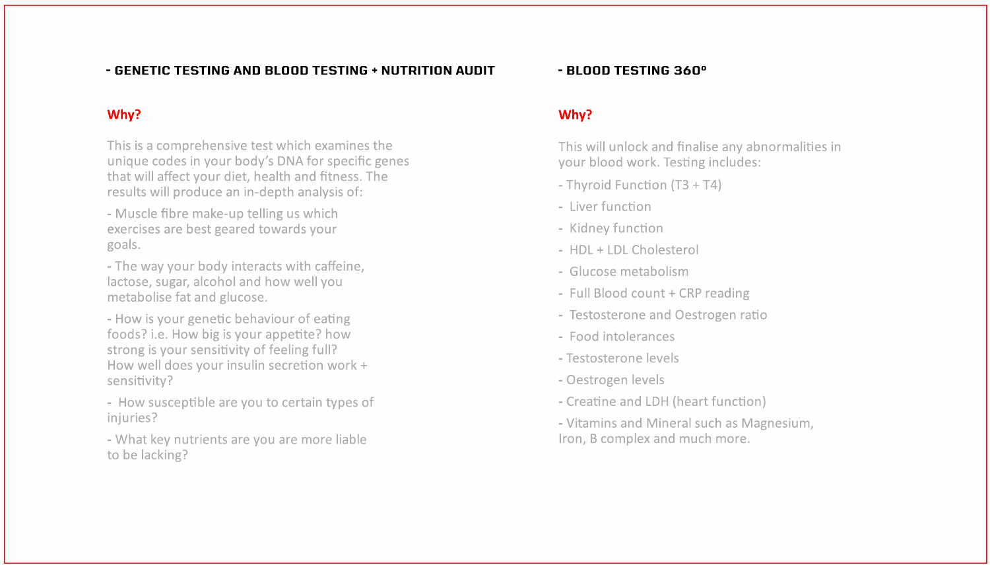#### - GENETIC TESTING AND BLOOD TESTING + NUTRITION AUDIT

### Why?

This is a comprehensive test which examines the unique codes in your body's DNA for specific genes that will affect your diet, health and fitness. The results will produce an in-depth analysis of:

- Muscle fibre make-up telling us which exercises are best geared towards your goals.

- The way your body interacts with caffeine, lactose, sugar, alcohol and how well you metabolise fat and glucose.

- How is your genetic behaviour of eating foods? i.e. How big is your appetite? how strong is your sensitivity of feeling full? How well does your insulin secretion work + sensitivity?

- How susceptible are you to certain types of injuries?

- What key nutrients are you are more liable to be lacking?

#### - BLOOD TESTING 360°

### Why?

This will unlock and finalise any abnormalities in your blood work. Testing includes:

- Thyroid Function (T3 + T4)

- Liver function
- Kidney function
- HDL + LDL Cholesterol
- Glucose metabolism
- Full Blood count + CRP reading
- Testosterone and Oestrogen ratio
- Food intolerances
- Testosterone levels
- Oestrogen levels
- Creatine and LDH (heart function)
- Vitamins and Mineral such as Magnesium, Iron, B complex and much more.

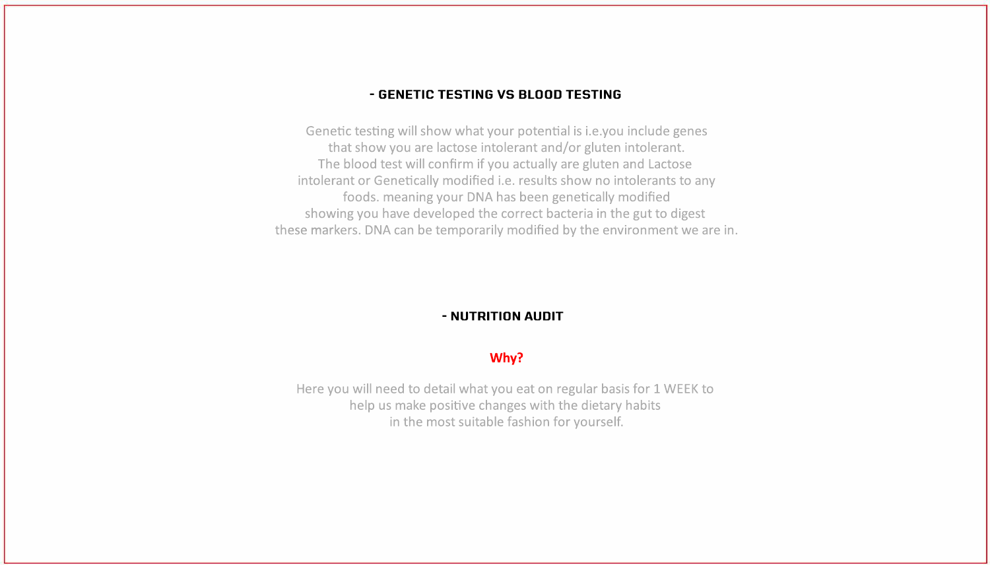### - GENETIC TESTING VS BLOOD TESTING

Genetic testing will show what your potential is i.e.you include genes that show you are lactose intolerant and/or gluten intolerant. The blood test will confirm if you actually are gluten and Lactose intolerant or Genetically modified i.e. results show no intolerants to any foods. meaning your DNA has been genetically modified showing you have developed the correct bacteria in the gut to digest these markers. DNA can be temporarily modified by the environment we are in.

Here you will need to detail what you eat on regular basis for 1 WEEK to help us make positive changes with the dietary habits in the most suitable fashion for yourself.

### - NUTRITION AUDIT

### Why?